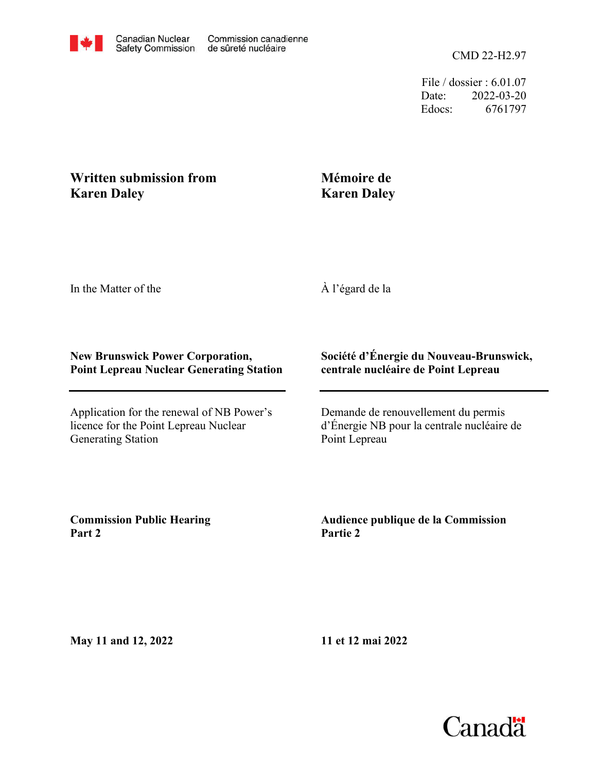File / dossier : 6.01.07 Date: 2022-03-20 Edocs: 6761797

## **Written submission from Karen Daley**

## **Mémoire de Karen Daley**

In the Matter of the

À l'égard de la

## **New Brunswick Power Corporation, Point Lepreau Nuclear Generating Station**

Application for the renewal of NB Power's licence for the Point Lepreau Nuclear Generating Station

## **Société d'Énergie du Nouveau-Brunswick, centrale nucléaire de Point Lepreau**

Demande de renouvellement du permis d'Énergie NB pour la centrale nucléaire de Point Lepreau

**Commission Public Hearing Part 2**

**Audience publique de la Commission Partie 2**

**May 11 and 12, 2022**

**11 et 12 mai 2022**